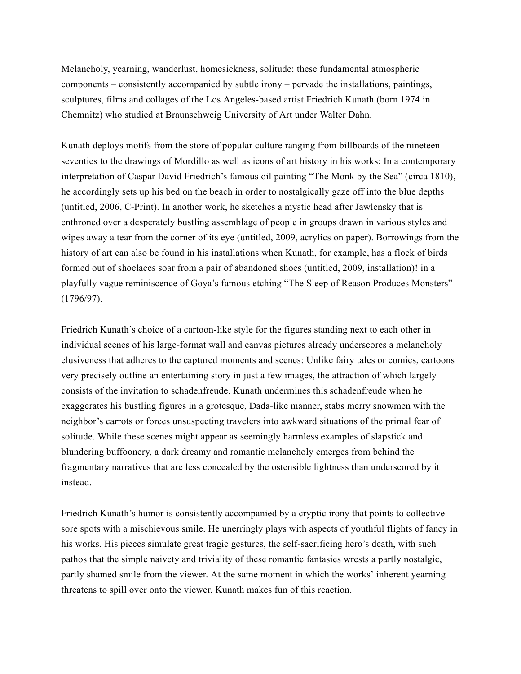Melancholy, yearning, wanderlust, homesickness, solitude: these fundamental atmospheric components – consistently accompanied by subtle irony – pervade the installations, paintings, sculptures, films and collages of the Los Angeles-based artist Friedrich Kunath (born 1974 in Chemnitz) who studied at Braunschweig University of Art under Walter Dahn.

Kunath deploys motifs from the store of popular culture ranging from billboards of the nineteen seventies to the drawings of Mordillo as well as icons of art history in his works: In a contemporary interpretation of Caspar David Friedrich's famous oil painting "The Monk by the Sea" (circa 1810), he accordingly sets up his bed on the beach in order to nostalgically gaze off into the blue depths (untitled, 2006, C-Print). In another work, he sketches a mystic head after Jawlensky that is enthroned over a desperately bustling assemblage of people in groups drawn in various styles and wipes away a tear from the corner of its eye (untitled, 2009, acrylics on paper). Borrowings from the history of art can also be found in his installations when Kunath, for example, has a flock of birds formed out of shoelaces soar from a pair of abandoned shoes (untitled, 2009, installation)! in a playfully vague reminiscence of Goya's famous etching "The Sleep of Reason Produces Monsters" (1796/97).

Friedrich Kunath's choice of a cartoon-like style for the figures standing next to each other in individual scenes of his large-format wall and canvas pictures already underscores a melancholy elusiveness that adheres to the captured moments and scenes: Unlike fairy tales or comics, cartoons very precisely outline an entertaining story in just a few images, the attraction of which largely consists of the invitation to schadenfreude. Kunath undermines this schadenfreude when he exaggerates his bustling figures in a grotesque, Dada-like manner, stabs merry snowmen with the neighbor's carrots or forces unsuspecting travelers into awkward situations of the primal fear of solitude. While these scenes might appear as seemingly harmless examples of slapstick and blundering buffoonery, a dark dreamy and romantic melancholy emerges from behind the fragmentary narratives that are less concealed by the ostensible lightness than underscored by it instead.

Friedrich Kunath's humor is consistently accompanied by a cryptic irony that points to collective sore spots with a mischievous smile. He unerringly plays with aspects of youthful flights of fancy in his works. His pieces simulate great tragic gestures, the self-sacrificing hero's death, with such pathos that the simple naivety and triviality of these romantic fantasies wrests a partly nostalgic, partly shamed smile from the viewer. At the same moment in which the works' inherent yearning threatens to spill over onto the viewer, Kunath makes fun of this reaction.